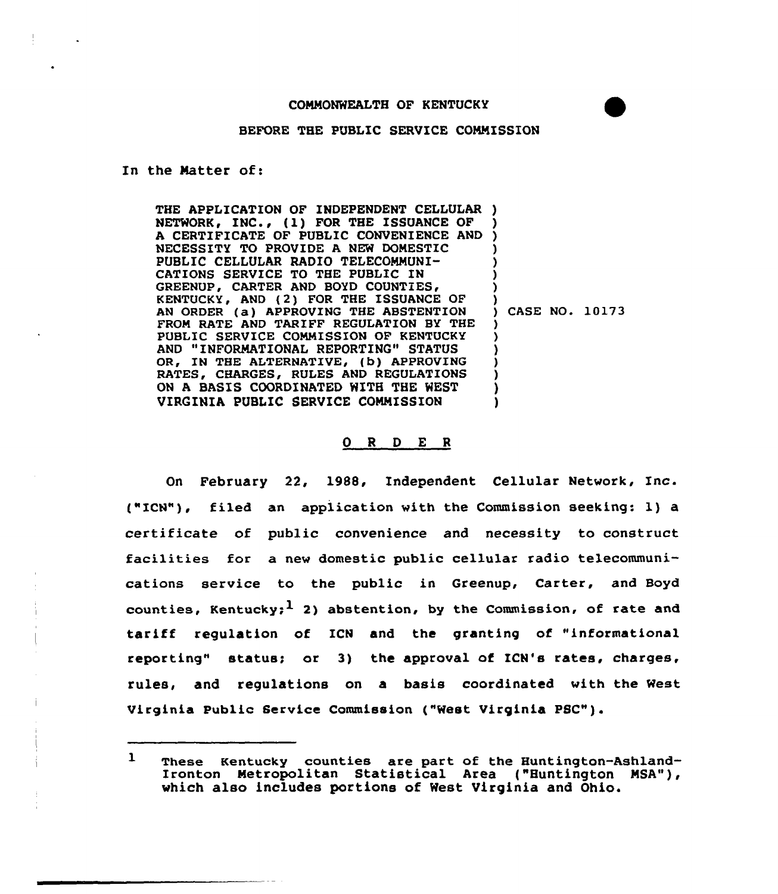## BEFORE THE PUBLIC SERVICE COMMISSION

In the Matter of:

THE APPLICATION OF INDEPENDENT CELLULAR ) NETWORK, INC., (1) FOR THE ISSUANCE OF A CERTIFICATE OF PUBLIC CONVENIENCE AND NECESSITY TO PROVIDE A NEW DOMESTIC PUBLIC CELLULAR RADIO TELECOMMUNI-CATIONS SERVICE TO THE PUBLIC IN GREENUP, CARTER AND BOYD COUNTIES, KENTUCKY, AND (2) FOR THE ISSUANCE OF AN ORDER (a) APPROVING THE ABSTENTION FROM RATE AND TARIFF REGULATION BY THE PUBLIC SERVICE COMMISSION OF KENTUCKY AND "INFORMATIONAL REPORTING" STATUS OR. IN THE ALTERNATIVE, (b) APPROVING RATES, CHARGES, RULES AND REGULATIONS ON A BASIS COORDINATED WITH THE WEST VIRGINIA PUBLIC SERVICE COMMISSION ) ) ) ) ) )<br>) CASE NO. 10173  $\lambda$ ) ) ) )

## 0 <sup>R</sup> <sup>D</sup> E <sup>R</sup>

On February 22, 1988, Independent Cellular Network, Inc. ("ICN"), filed an application with the Commission seeking: l) a certificate of public convenience and necessity to construct facilities for a new domestic public cellular radio telecommunications service to the public in Greenup, Carter, and Boyd counties, Kentucky;  $1$  2) abstention, by the Commission, of rate and tariff regulation of ICN and the granting of "informational reporting" status; or 3) the approval of ICN's rates, charges, rules, and regulations on a basis coordinated with the West Virginia Public Service Commission ("West Virginia PSC").

 $\mathbf{1}$ These Kentucky counties are part of the Huntington-Ashland-Ironton Metropolitan Statistical Area ("Huntington MSA") which also includes portions of West Virginia and Ohio.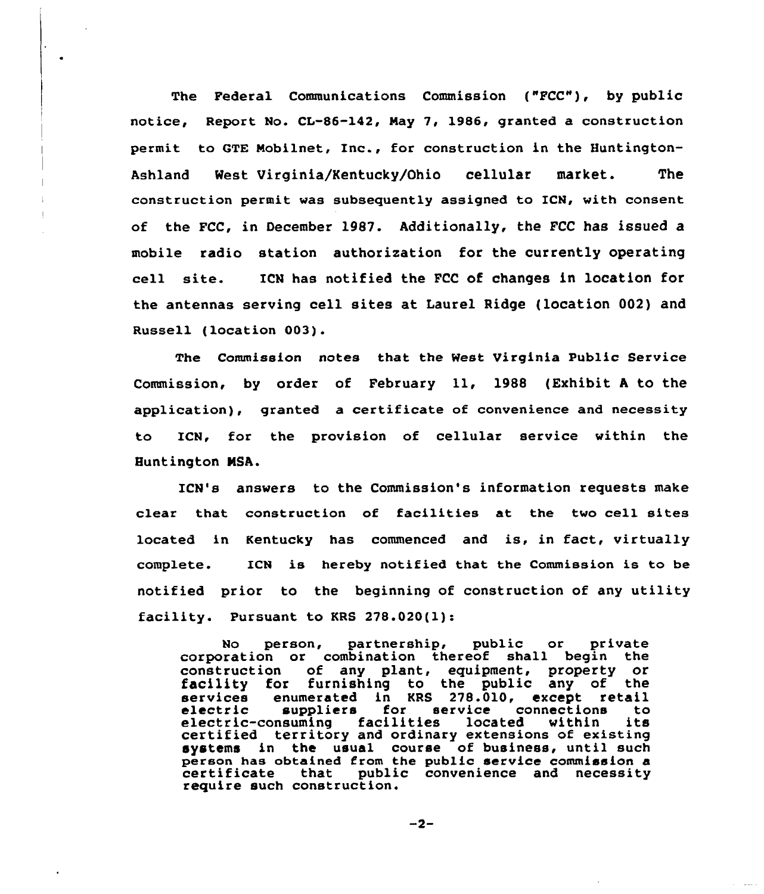The Federal Communications Commission ("FCC"), by public notice, Report No. CL-86-142, Nay 7, 1986, granted a construction permit to GTE Nobilnet, Inc., for construction in the Huntington-Ashland West Virginia/Kentucky/Ohio cellular market. The construction permit was subsequently assigned to ICN, with consent of the FCC, in December l987. Additionally, the FCC has issued a mobile radio station authorization for the currently operating cell site. ICN has notified the FCC of changes in location for the antennas serving cell sites at Laurel Ridge (location 002) and Russell (location 003).

The Commission notes that the West Virginia Public Service Commission, by order of February ll, <sup>1988</sup> (Exhibit <sup>A</sup> to the application), granted a certificate of convenience and necessity to ICN, for the provision of cellular service within the Buntington NSA.

ICN's answers to the Commission's information requests make clear that construction of facilities at the two cell sites located in Kentucky has commenced and is, in fact, virtually complete. ICN is hereby notified that the Commission is to be notified prior to the beginning of construction of any utility facility. Pursuant to KRS 278.020(1):

No person, partnership, public or private corporation or combination thereof shall begin the<br>construction of any plant, equipment, property or of any plant, equipment, property or facility for furnishing to the public any of the services enumerated in KRS 278.010, except retail<br>electric suppliers for service connections to<br>electric-consuming facilities located within its<br>certified territory and ordinary extensions of existing certified territory and ordinary extensions of existing<br>systems in the usual course of business, until such person has obtained from the public service commission a<br>certificate that public convenience and necessity public convenience and necessity require such construction.

 $-2-$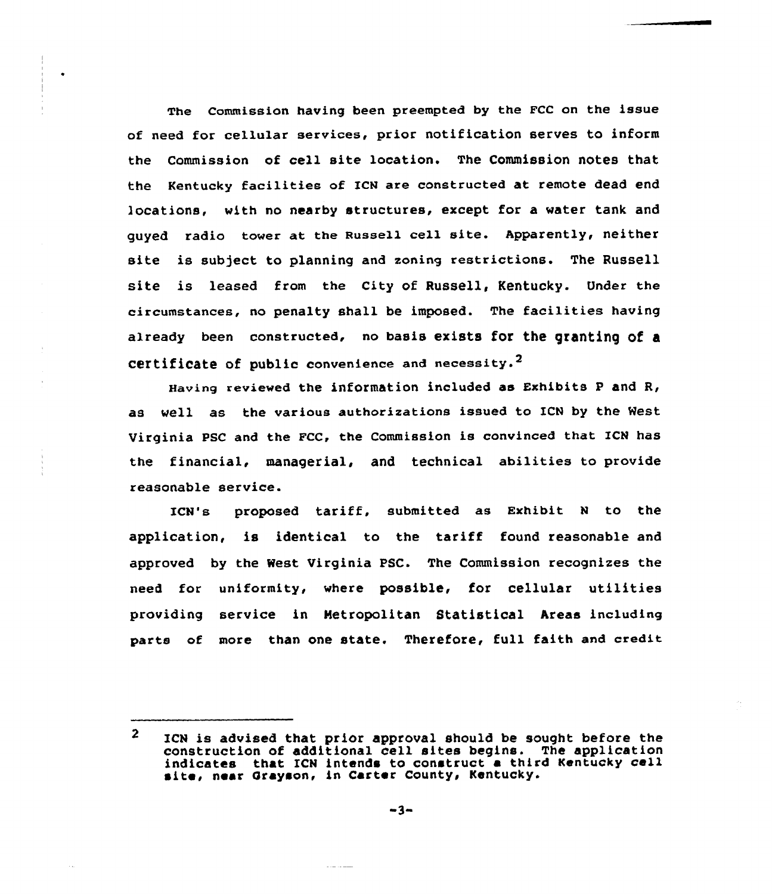The Commission having been preempted by the FCC on the issue of need for cellular services, prior notification serves to inform the Commission of cell site location. The Commission notes that the Kentucky facilities of IcN are constructed at remote dead end locations, with no nearby structures, except for a water tank and guyed radio tower at the Russell cell site. Apparently, neither site is subject to planning and zoning restrictions. The Russell site is leased from the City of Russell, Kentucky. Under the circumstances, no penalty shall be imposed. The facilities having already been constructed, no basis exists for the granting of a Certificate of public convenience and necessity.<sup>2</sup>

Having reviewed the information included as Exhibits  $P$  and  $R$ , as well as the various authorizations issued to ICN by the West Virginia PSC and the FCC, the Commission is convinced that ICN haS the financial, managerial, and technical abilities to provide reasonable service.

ICN's proposed tariff, submitted as Exhibit <sup>N</sup> to the application, is identical to the tariff found reasonable and approved by the West Virginia PSC. The Commission recognizes the need for uniformity, where possible, for cellular utilities providing service in Metropolitan Statistical Areas including parts of more than one state. Therefore, full faith and credit

 $\overline{2}$ ICN is advised that prior approval should be sought before the construction of additional cell sites begins. The application indicates that ICN intends to construct a third Kentucky cell site, near Grayson, in Carter County, Kentucky